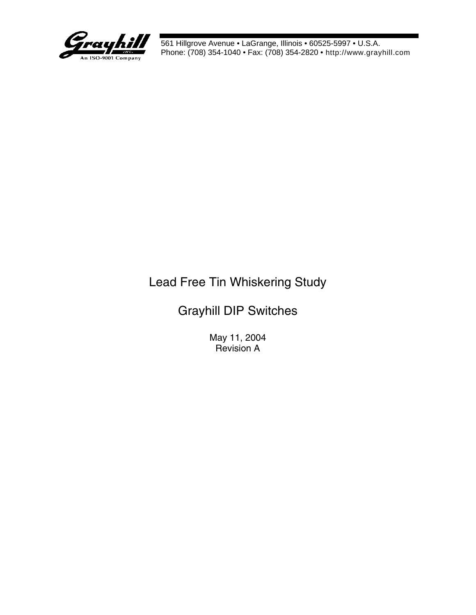

# Lead Free Tin Whiskering Study

# Grayhill DIP Switches

May 11, 2004 Revision A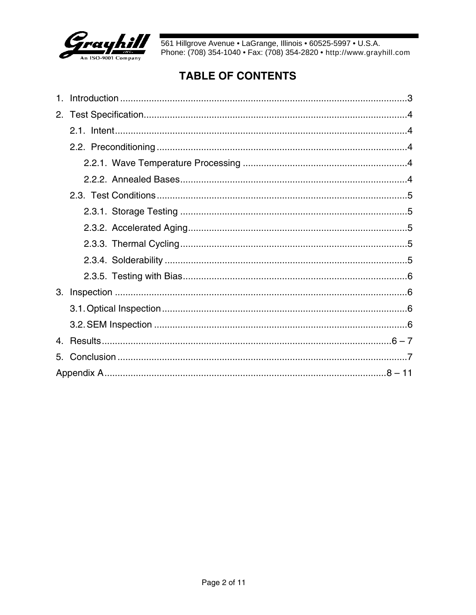

## **TABLE OF CONTENTS**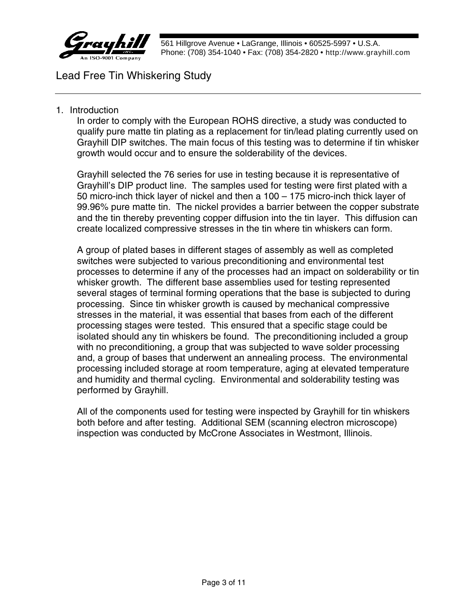

### Lead Free Tin Whiskering Study

#### 1. Introduction

In order to comply with the European ROHS directive, a study was conducted to qualify pure matte tin plating as a replacement for tin/lead plating currently used on Grayhill DIP switches. The main focus of this testing was to determine if tin whisker growth would occur and to ensure the solderability of the devices.

Grayhill selected the 76 series for use in testing because it is representative of Grayhill's DIP product line. The samples used for testing were first plated with a 50 micro-inch thick layer of nickel and then a 100 – 175 micro-inch thick layer of 99.96% pure matte tin. The nickel provides a barrier between the copper substrate and the tin thereby preventing copper diffusion into the tin layer. This diffusion can create localized compressive stresses in the tin where tin whiskers can form.

A group of plated bases in different stages of assembly as well as completed switches were subjected to various preconditioning and environmental test processes to determine if any of the processes had an impact on solderability or tin whisker growth. The different base assemblies used for testing represented several stages of terminal forming operations that the base is subjected to during processing. Since tin whisker growth is caused by mechanical compressive stresses in the material, it was essential that bases from each of the different processing stages were tested. This ensured that a specific stage could be isolated should any tin whiskers be found. The preconditioning included a group with no preconditioning, a group that was subjected to wave solder processing and, a group of bases that underwent an annealing process. The environmental processing included storage at room temperature, aging at elevated temperature and humidity and thermal cycling. Environmental and solderability testing was performed by Grayhill.

All of the components used for testing were inspected by Grayhill for tin whiskers both before and after testing. Additional SEM (scanning electron microscope) inspection was conducted by McCrone Associates in Westmont, Illinois.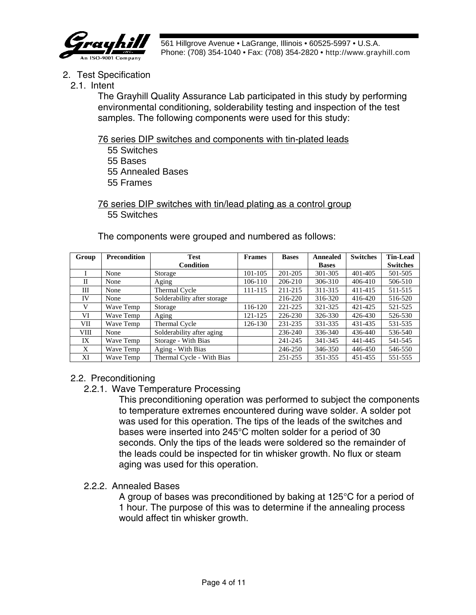

- 2. Test Specification
	- 2.1. Intent

The Grayhill Quality Assurance Lab participated in this study by performing environmental conditioning, solderability testing and inspection of the test samples. The following components were used for this study:

76 series DIP switches and components with tin-plated leads

 55 Switches 55 Bases 55 Annealed Bases 55 Frames

76 series DIP switches with tin/lead plating as a control group 55 Switches

**Group Precondition Test Condition Frames Bases Annealed Bases Switches Tin-Lead Switches** I None Storage 101-105 201-205 301-305 401-405 501-505 II None Aging 106-110 206-210 306-310 406-410 506-510 III None Thermal Cycle 111-115 211-215 311-315 411-415 511-515 IV None Solderability after storage 216-220 316-320 416-420 516-520 V Wave Temp Storage 116-120 221-225 321-325 421-425 521-525 VI | Wave Temp | Aging | 121-125 | 226-230 | 326-330 | 426-430 | 526-530 VII Wave Temp Thermal Cycle 126-130 231-235 331-335 431-435 531-535 VIII | None | Solderability after aging | 236-240 | 236-340 | 436-440 | 536-540 IX Wave Temp Storage - With Bias 241-245 341-345 441-445 541-545 X Wave Temp Aging - With Bias 246-250 346-350 446-450 546-550 XI Wave Temp Thermal Cycle - With Bias 251-255 351-355 451-455 551-555

The components were grouped and numbered as follows:

#### 2.2. Preconditioning

#### 2.2.1. Wave Temperature Processing

This preconditioning operation was performed to subject the components to temperature extremes encountered during wave solder. A solder pot was used for this operation. The tips of the leads of the switches and bases were inserted into 245°C molten solder for a period of 30 seconds. Only the tips of the leads were soldered so the remainder of the leads could be inspected for tin whisker growth. No flux or steam aging was used for this operation.

#### 2.2.2. Annealed Bases

A group of bases was preconditioned by baking at 125°C for a period of 1 hour. The purpose of this was to determine if the annealing process would affect tin whisker growth.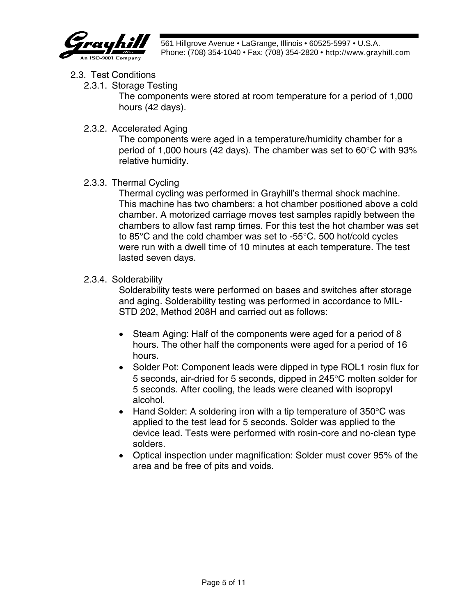

- 2.3. Test Conditions
	- 2.3.1. Storage Testing

The components were stored at room temperature for a period of 1,000 hours (42 days).

2.3.2. Accelerated Aging

The components were aged in a temperature/humidity chamber for a period of 1,000 hours (42 days). The chamber was set to 60°C with 93% relative humidity.

2.3.3. Thermal Cycling

Thermal cycling was performed in Grayhill's thermal shock machine. This machine has two chambers: a hot chamber positioned above a cold chamber. A motorized carriage moves test samples rapidly between the chambers to allow fast ramp times. For this test the hot chamber was set to 85°C and the cold chamber was set to -55°C. 500 hot/cold cycles were run with a dwell time of 10 minutes at each temperature. The test lasted seven days.

2.3.4. Solderability

Solderability tests were performed on bases and switches after storage and aging. Solderability testing was performed in accordance to MIL-STD 202, Method 208H and carried out as follows:

- Steam Aging: Half of the components were aged for a period of 8 hours. The other half the components were aged for a period of 16 hours.
- Solder Pot: Component leads were dipped in type ROL1 rosin flux for 5 seconds, air-dried for 5 seconds, dipped in 245°C molten solder for 5 seconds. After cooling, the leads were cleaned with isopropyl alcohol.
- Hand Solder: A soldering iron with a tip temperature of  $350^{\circ}$ C was applied to the test lead for 5 seconds. Solder was applied to the device lead. Tests were performed with rosin-core and no-clean type solders.
- Optical inspection under magnification: Solder must cover 95% of the area and be free of pits and voids.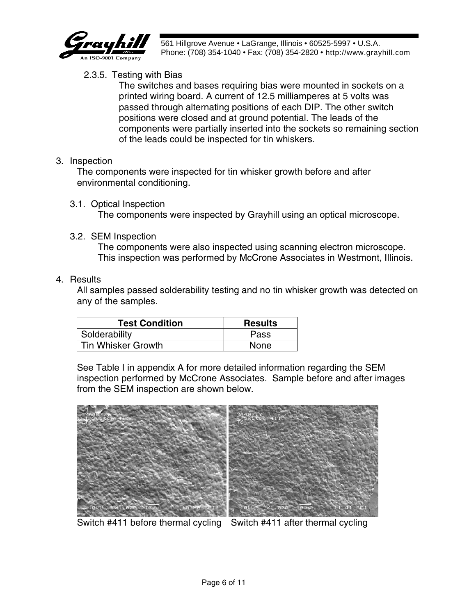

#### 2.3.5. Testing with Bias

The switches and bases requiring bias were mounted in sockets on a printed wiring board. A current of 12.5 milliamperes at 5 volts was passed through alternating positions of each DIP. The other switch positions were closed and at ground potential. The leads of the components were partially inserted into the sockets so remaining section of the leads could be inspected for tin whiskers.

#### 3. Inspection

The components were inspected for tin whisker growth before and after environmental conditioning.

3.1. Optical Inspection

The components were inspected by Grayhill using an optical microscope.

3.2. SEM Inspection

The components were also inspected using scanning electron microscope. This inspection was performed by McCrone Associates in Westmont, Illinois.

#### 4. Results

All samples passed solderability testing and no tin whisker growth was detected on any of the samples.

| <b>Test Condition</b> | <b>Results</b> |
|-----------------------|----------------|
| Solderability         | Pass           |
| l Tin Whisker Growth  | <b>None</b>    |

See Table I in appendix A for more detailed information regarding the SEM inspection performed by McCrone Associates. Sample before and after images from the SEM inspection are shown below.



Switch #411 before thermal cycling Switch #411 after thermal cycling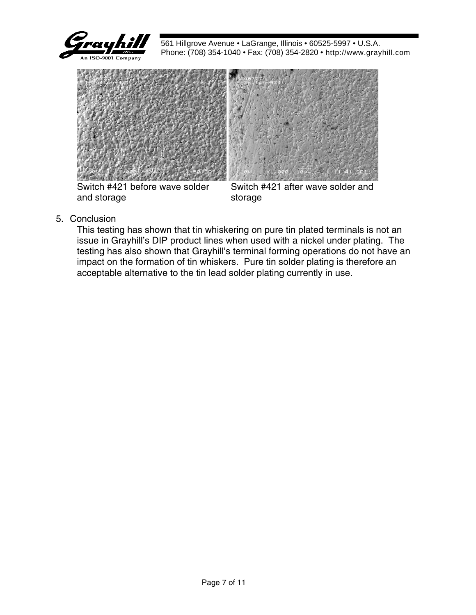



Switch #421 before wave solder and storage

Switch #421 after wave solder and storage

5. Conclusion

This testing has shown that tin whiskering on pure tin plated terminals is not an issue in Grayhill's DIP product lines when used with a nickel under plating. The testing has also shown that Grayhill's terminal forming operations do not have an impact on the formation of tin whiskers. Pure tin solder plating is therefore an acceptable alternative to the tin lead solder plating currently in use.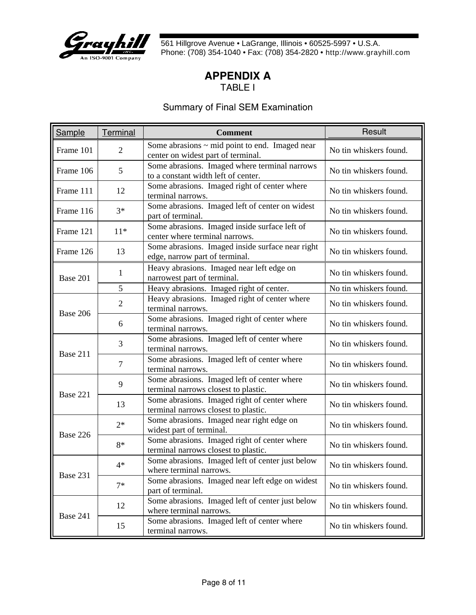

#### **APPENDIX A** TABLE I

#### Summary of Final SEM Examination

| Sample    | Terminal       | <b>Comment</b>                                                                            | Result                 |
|-----------|----------------|-------------------------------------------------------------------------------------------|------------------------|
| Frame 101 | $\overline{2}$ | Some abrasions $\sim$ mid point to end. Imaged near<br>center on widest part of terminal. | No tin whiskers found. |
| Frame 106 | 5              | Some abrasions. Imaged where terminal narrows<br>to a constant width left of center.      | No tin whiskers found. |
| Frame 111 | 12             | Some abrasions. Imaged right of center where<br>terminal narrows.                         | No tin whiskers found. |
| Frame 116 | $3*$           | Some abrasions. Imaged left of center on widest<br>part of terminal.                      | No tin whiskers found. |
| Frame 121 | $11*$          | Some abrasions. Imaged inside surface left of<br>center where terminal narrows.           | No tin whiskers found. |
| Frame 126 | 13             | Some abrasions. Imaged inside surface near right<br>edge, narrow part of terminal.        | No tin whiskers found. |
| Base 201  | 1              | Heavy abrasions. Imaged near left edge on<br>narrowest part of terminal.                  | No tin whiskers found. |
|           | 5              | Heavy abrasions. Imaged right of center.                                                  | No tin whiskers found. |
| Base 206  | $\overline{2}$ | Heavy abrasions. Imaged right of center where<br>terminal narrows.                        | No tin whiskers found. |
|           | 6              | Some abrasions. Imaged right of center where<br>terminal narrows.                         | No tin whiskers found. |
| Base 211  | 3              | Some abrasions. Imaged left of center where<br>terminal narrows.                          | No tin whiskers found. |
|           | $\overline{7}$ | Some abrasions. Imaged left of center where<br>terminal narrows.                          | No tin whiskers found. |
| Base 221  | 9              | Some abrasions. Imaged left of center where<br>terminal narrows closest to plastic.       | No tin whiskers found. |
|           | 13             | Some abrasions. Imaged right of center where<br>terminal narrows closest to plastic.      | No tin whiskers found. |
| Base 226  | $2*$           | Some abrasions. Imaged near right edge on<br>widest part of terminal.                     | No tin whiskers found. |
|           | 8*             | Some abrasions. Imaged right of center where<br>terminal narrows closest to plastic.      | No tin whiskers found. |
|           | $4*$           | Some abrasions. Imaged left of center just below<br>where terminal narrows.               | No tin whiskers found. |
| Base 231  | $7*$           | Some abrasions. Imaged near left edge on widest<br>part of terminal.                      | No tin whiskers found. |
|           | 12             | Some abrasions. Imaged left of center just below<br>where terminal narrows.               | No tin whiskers found. |
| Base 241  | 15             | Some abrasions. Imaged left of center where<br>terminal narrows.                          | No tin whiskers found. |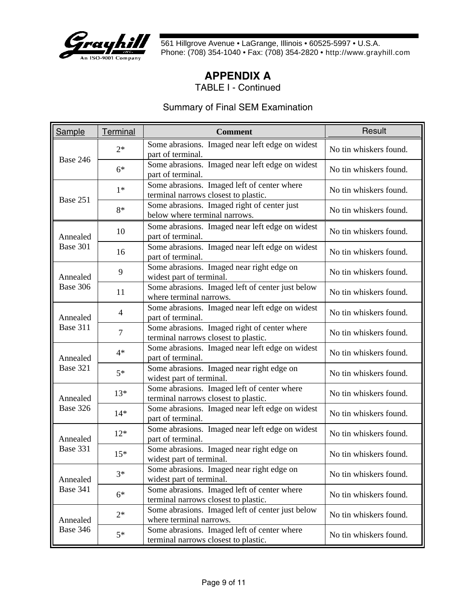

### **APPENDIX A**

TABLE I - Continued

#### Summary of Final SEM Examination

| Sample   | Terminal       | <b>Comment</b>                                                                       | Result                 |
|----------|----------------|--------------------------------------------------------------------------------------|------------------------|
| Base 246 | $2*$           | Some abrasions. Imaged near left edge on widest<br>part of terminal.                 | No tin whiskers found. |
|          | $6*$           | Some abrasions. Imaged near left edge on widest<br>part of terminal.                 | No tin whiskers found. |
| Base 251 | $1*$           | Some abrasions. Imaged left of center where<br>terminal narrows closest to plastic.  | No tin whiskers found. |
|          | 8*             | Some abrasions. Imaged right of center just<br>below where terminal narrows.         | No tin whiskers found. |
| Annealed | 10             | Some abrasions. Imaged near left edge on widest<br>part of terminal.                 | No tin whiskers found. |
| Base 301 | 16             | Some abrasions. Imaged near left edge on widest<br>part of terminal.                 | No tin whiskers found. |
| Annealed | 9              | Some abrasions. Imaged near right edge on<br>widest part of terminal.                | No tin whiskers found. |
| Base 306 | 11             | Some abrasions. Imaged left of center just below<br>where terminal narrows.          | No tin whiskers found. |
| Annealed | $\overline{4}$ | Some abrasions. Imaged near left edge on widest<br>part of terminal.                 | No tin whiskers found. |
| Base 311 | $\overline{7}$ | Some abrasions. Imaged right of center where<br>terminal narrows closest to plastic. | No tin whiskers found. |
| Annealed | $4*$           | Some abrasions. Imaged near left edge on widest<br>part of terminal.                 | No tin whiskers found. |
| Base 321 | $5*$           | Some abrasions. Imaged near right edge on<br>widest part of terminal.                | No tin whiskers found. |
| Annealed | $13*$          | Some abrasions. Imaged left of center where<br>terminal narrows closest to plastic.  | No tin whiskers found. |
| Base 326 | $14*$          | Some abrasions. Imaged near left edge on widest<br>part of terminal.                 | No tin whiskers found. |
| Annealed | $12*$          | Some abrasions. Imaged near left edge on widest<br>part of terminal.                 | No tin whiskers found. |
| Base 331 | $15*$          | Some abrasions. Imaged near right edge on<br>widest part of terminal.                | No tin whiskers found. |
| Annealed | $3*$           | Some abrasions. Imaged near right edge on<br>widest part of terminal.                | No tin whiskers found. |
| Base 341 | $6*$           | Some abrasions. Imaged left of center where<br>terminal narrows closest to plastic.  | No tin whiskers found. |
| Annealed | $2*$           | Some abrasions. Imaged left of center just below<br>where terminal narrows.          | No tin whiskers found. |
| Base 346 | $5*$           | Some abrasions. Imaged left of center where<br>terminal narrows closest to plastic.  | No tin whiskers found. |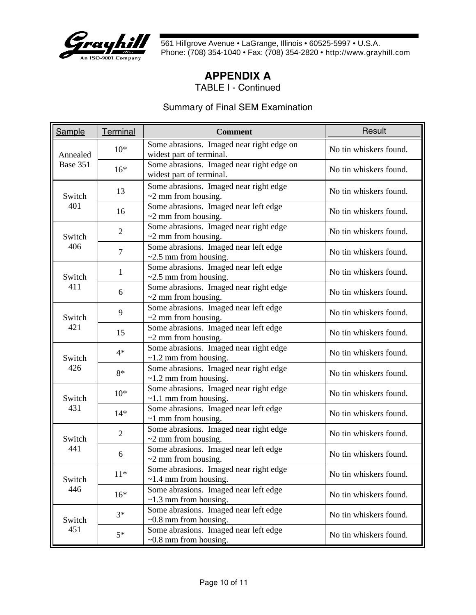

### **APPENDIX A**

TABLE I - Continued

#### Summary of Final SEM Examination

| <b>Sample</b> | Terminal       | <b>Comment</b>                                                        | Result                 |
|---------------|----------------|-----------------------------------------------------------------------|------------------------|
| Annealed      | $10*$          | Some abrasions. Imaged near right edge on<br>widest part of terminal. | No tin whiskers found. |
| Base 351      | $16*$          | Some abrasions. Imaged near right edge on<br>widest part of terminal. | No tin whiskers found. |
| Switch        | 13             | Some abrasions. Imaged near right edge<br>$\sim$ 2 mm from housing.   | No tin whiskers found. |
| 401           | 16             | Some abrasions. Imaged near left edge<br>$\sim$ 2 mm from housing.    | No tin whiskers found. |
| Switch        | $\overline{2}$ | Some abrasions. Imaged near right edge<br>$\sim$ 2 mm from housing.   | No tin whiskers found. |
| 406           | $\tau$         | Some abrasions. Imaged near left edge<br>$\sim$ 2.5 mm from housing.  | No tin whiskers found. |
| Switch        | 1              | Some abrasions. Imaged near left edge<br>$\sim$ 2.5 mm from housing.  | No tin whiskers found. |
| 411           | 6              | Some abrasions. Imaged near right edge<br>$\sim$ 2 mm from housing.   | No tin whiskers found. |
| Switch        | 9              | Some abrasions. Imaged near left edge<br>$\sim$ 2 mm from housing.    | No tin whiskers found. |
| 421           | 15             | Some abrasions. Imaged near left edge<br>$\sim$ 2 mm from housing.    | No tin whiskers found. |
| Switch        | $4*$           | Some abrasions. Imaged near right edge<br>$\sim$ 1.2 mm from housing. | No tin whiskers found. |
| 426           | 8*             | Some abrasions. Imaged near right edge<br>$\sim$ 1.2 mm from housing. | No tin whiskers found. |
| Switch        | $10*$          | Some abrasions. Imaged near right edge<br>$\sim$ 1.1 mm from housing. | No tin whiskers found. |
| 431           | $14*$          | Some abrasions. Imaged near left edge<br>$\sim$ 1 mm from housing.    | No tin whiskers found. |
| Switch        | $\overline{2}$ | Some abrasions. Imaged near right edge<br>$\sim$ 2 mm from housing.   | No tin whiskers found. |
| 441           | 6              | Some abrasions. Imaged near left edge<br>$\sim$ 2 mm from housing.    | No tin whiskers found. |
| Switch        | $11*$          | Some abrasions. Imaged near right edge<br>$\sim$ 1.4 mm from housing. | No tin whiskers found. |
| 446           | $16*$          | Some abrasions. Imaged near left edge<br>$\sim$ 1.3 mm from housing.  | No tin whiskers found. |
| Switch        | $3*$           | Some abrasions. Imaged near left edge<br>$\sim 0.8$ mm from housing.  | No tin whiskers found. |
| 451           | $5*$           | Some abrasions. Imaged near left edge<br>$\sim 0.8$ mm from housing.  | No tin whiskers found. |